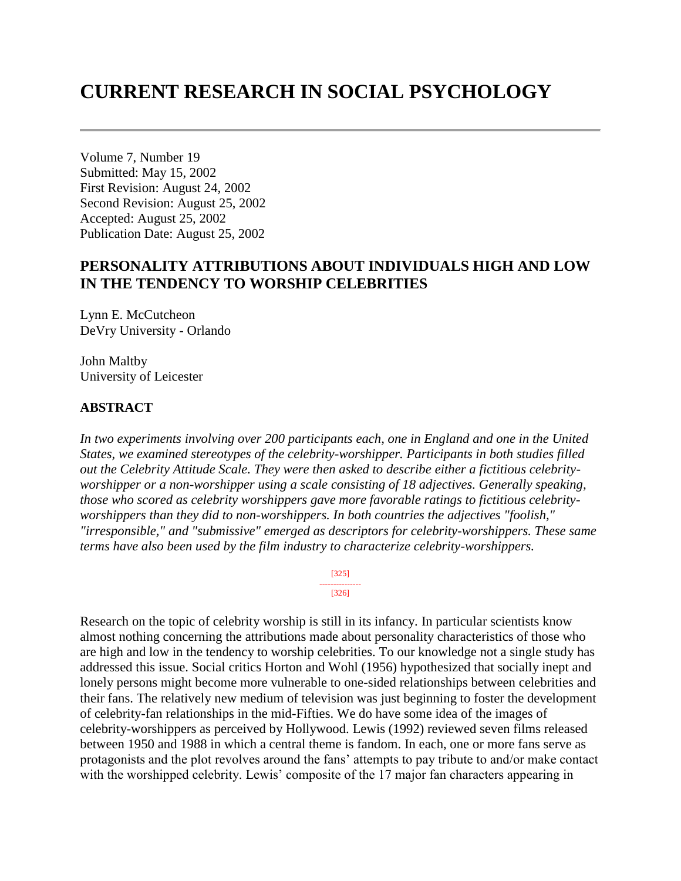# **CURRENT RESEARCH IN SOCIAL PSYCHOLOGY**

Volume 7, Number 19 Submitted: May 15, 2002 First Revision: August 24, 2002 Second Revision: August 25, 2002 Accepted: August 25, 2002 Publication Date: August 25, 2002

## **PERSONALITY ATTRIBUTIONS ABOUT INDIVIDUALS HIGH AND LOW IN THE TENDENCY TO WORSHIP CELEBRITIES**

Lynn E. McCutcheon DeVry University - Orlando

John Maltby University of Leicester

### **ABSTRACT**

*In two experiments involving over 200 participants each, one in England and one in the United States, we examined stereotypes of the celebrity-worshipper. Participants in both studies filled out the Celebrity Attitude Scale. They were then asked to describe either a fictitious celebrityworshipper or a non-worshipper using a scale consisting of 18 adjectives. Generally speaking, those who scored as celebrity worshippers gave more favorable ratings to fictitious celebrityworshippers than they did to non-worshippers. In both countries the adjectives "foolish," "irresponsible," and "submissive" emerged as descriptors for celebrity-worshippers. These same terms have also been used by the film industry to characterize celebrity-worshippers.*

> [325] --------------- [326]

Research on the topic of celebrity worship is still in its infancy. In particular scientists know almost nothing concerning the attributions made about personality characteristics of those who are high and low in the tendency to worship celebrities. To our knowledge not a single study has addressed this issue. Social critics Horton and Wohl (1956) hypothesized that socially inept and lonely persons might become more vulnerable to one-sided relationships between celebrities and their fans. The relatively new medium of television was just beginning to foster the development of celebrity-fan relationships in the mid-Fifties. We do have some idea of the images of celebrity-worshippers as perceived by Hollywood. Lewis (1992) reviewed seven films released between 1950 and 1988 in which a central theme is fandom. In each, one or more fans serve as protagonists and the plot revolves around the fans' attempts to pay tribute to and/or make contact with the worshipped celebrity. Lewis' composite of the 17 major fan characters appearing in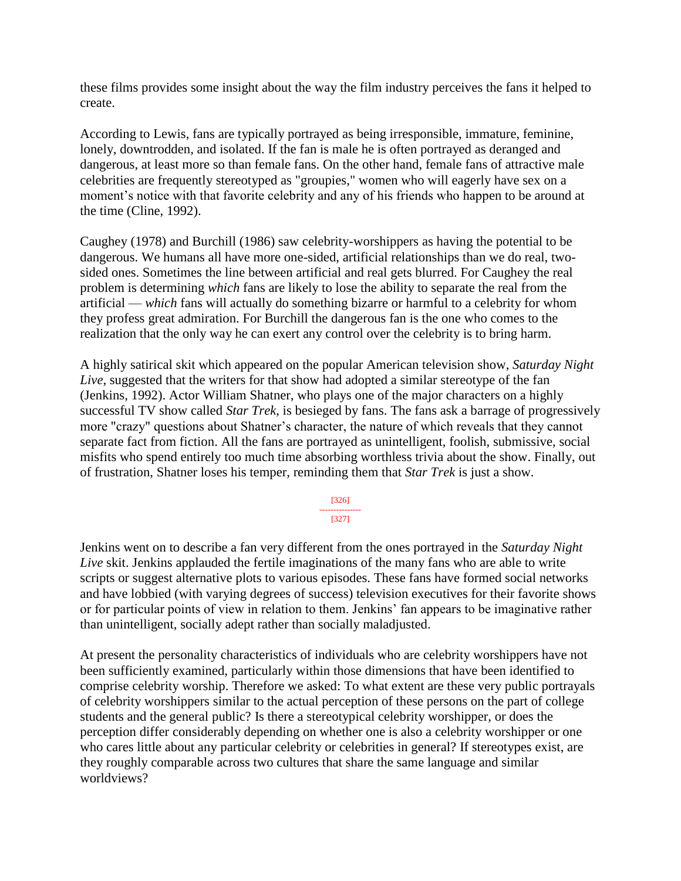these films provides some insight about the way the film industry perceives the fans it helped to create.

According to Lewis, fans are typically portrayed as being irresponsible, immature, feminine, lonely, downtrodden, and isolated. If the fan is male he is often portrayed as deranged and dangerous, at least more so than female fans. On the other hand, female fans of attractive male celebrities are frequently stereotyped as "groupies," women who will eagerly have sex on a moment's notice with that favorite celebrity and any of his friends who happen to be around at the time (Cline, 1992).

Caughey (1978) and Burchill (1986) saw celebrity-worshippers as having the potential to be dangerous. We humans all have more one-sided, artificial relationships than we do real, twosided ones. Sometimes the line between artificial and real gets blurred. For Caughey the real problem is determining *which* fans are likely to lose the ability to separate the real from the artificial — *which* fans will actually do something bizarre or harmful to a celebrity for whom they profess great admiration. For Burchill the dangerous fan is the one who comes to the realization that the only way he can exert any control over the celebrity is to bring harm.

A highly satirical skit which appeared on the popular American television show, *Saturday Night Live*, suggested that the writers for that show had adopted a similar stereotype of the fan (Jenkins, 1992). Actor William Shatner, who plays one of the major characters on a highly successful TV show called *Star Trek*, is besieged by fans. The fans ask a barrage of progressively more "crazy" questions about Shatner's character, the nature of which reveals that they cannot separate fact from fiction. All the fans are portrayed as unintelligent, foolish, submissive, social misfits who spend entirely too much time absorbing worthless trivia about the show. Finally, out of frustration, Shatner loses his temper, reminding them that *Star Trek* is just a show.

> [326] --------------- [327]

Jenkins went on to describe a fan very different from the ones portrayed in the *Saturday Night Live* skit. Jenkins applauded the fertile imaginations of the many fans who are able to write scripts or suggest alternative plots to various episodes. These fans have formed social networks and have lobbied (with varying degrees of success) television executives for their favorite shows or for particular points of view in relation to them. Jenkins' fan appears to be imaginative rather than unintelligent, socially adept rather than socially maladjusted.

At present the personality characteristics of individuals who are celebrity worshippers have not been sufficiently examined, particularly within those dimensions that have been identified to comprise celebrity worship. Therefore we asked: To what extent are these very public portrayals of celebrity worshippers similar to the actual perception of these persons on the part of college students and the general public? Is there a stereotypical celebrity worshipper, or does the perception differ considerably depending on whether one is also a celebrity worshipper or one who cares little about any particular celebrity or celebrities in general? If stereotypes exist, are they roughly comparable across two cultures that share the same language and similar worldviews?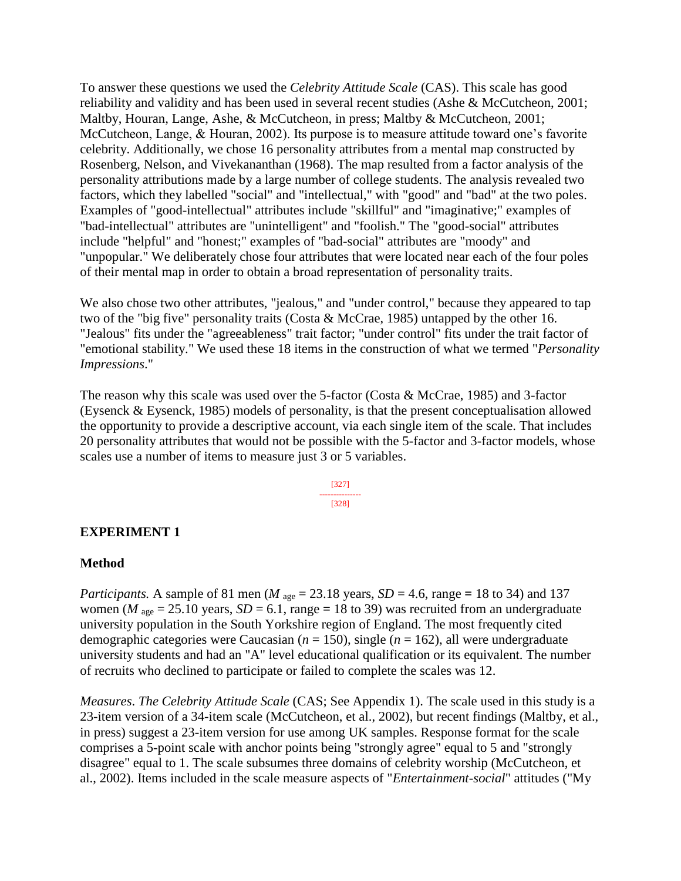To answer these questions we used the *Celebrity Attitude Scale* (CAS). This scale has good reliability and validity and has been used in several recent studies (Ashe & McCutcheon, 2001; Maltby, Houran, Lange, Ashe, & McCutcheon, in press; Maltby & McCutcheon, 2001; McCutcheon, Lange, & Houran, 2002). Its purpose is to measure attitude toward one's favorite celebrity. Additionally, we chose 16 personality attributes from a mental map constructed by Rosenberg, Nelson, and Vivekananthan (1968). The map resulted from a factor analysis of the personality attributions made by a large number of college students. The analysis revealed two factors, which they labelled "social" and "intellectual," with "good" and "bad" at the two poles. Examples of "good-intellectual" attributes include "skillful" and "imaginative;" examples of "bad-intellectual" attributes are "unintelligent" and "foolish." The "good-social" attributes include "helpful" and "honest;" examples of "bad-social" attributes are "moody" and "unpopular." We deliberately chose four attributes that were located near each of the four poles of their mental map in order to obtain a broad representation of personality traits.

We also chose two other attributes, "jealous," and "under control," because they appeared to tap two of the "big five" personality traits (Costa & McCrae, 1985) untapped by the other 16. "Jealous" fits under the "agreeableness" trait factor; "under control" fits under the trait factor of "emotional stability." We used these 18 items in the construction of what we termed "*Personality Impressions*."

The reason why this scale was used over the 5-factor (Costa & McCrae, 1985) and 3-factor (Eysenck & Eysenck, 1985) models of personality, is that the present conceptualisation allowed the opportunity to provide a descriptive account, via each single item of the scale. That includes 20 personality attributes that would not be possible with the 5-factor and 3-factor models, whose scales use a number of items to measure just 3 or 5 variables.

> [327] --------------- [328]

### **EXPERIMENT 1**

### **Method**

*Participants.* A sample of 81 men ( $M_{\text{age}} = 23.18$  years,  $SD = 4.6$ , range = 18 to 34) and 137 women ( $M_{\text{age}} = 25.10$  years,  $SD = 6.1$ , range = 18 to 39) was recruited from an undergraduate university population in the South Yorkshire region of England. The most frequently cited demographic categories were Caucasian (*n* = 150), single (*n* = 162), all were undergraduate university students and had an "A" level educational qualification or its equivalent. The number of recruits who declined to participate or failed to complete the scales was 12.

*Measures*. *The Celebrity Attitude Scale* (CAS; See Appendix 1). The scale used in this study is a 23-item version of a 34-item scale (McCutcheon, et al., 2002), but recent findings (Maltby, et al., in press) suggest a 23-item version for use among UK samples. Response format for the scale comprises a 5-point scale with anchor points being "strongly agree" equal to 5 and "strongly disagree" equal to 1. The scale subsumes three domains of celebrity worship (McCutcheon, et al., 2002). Items included in the scale measure aspects of "*Entertainment-social*" attitudes ("My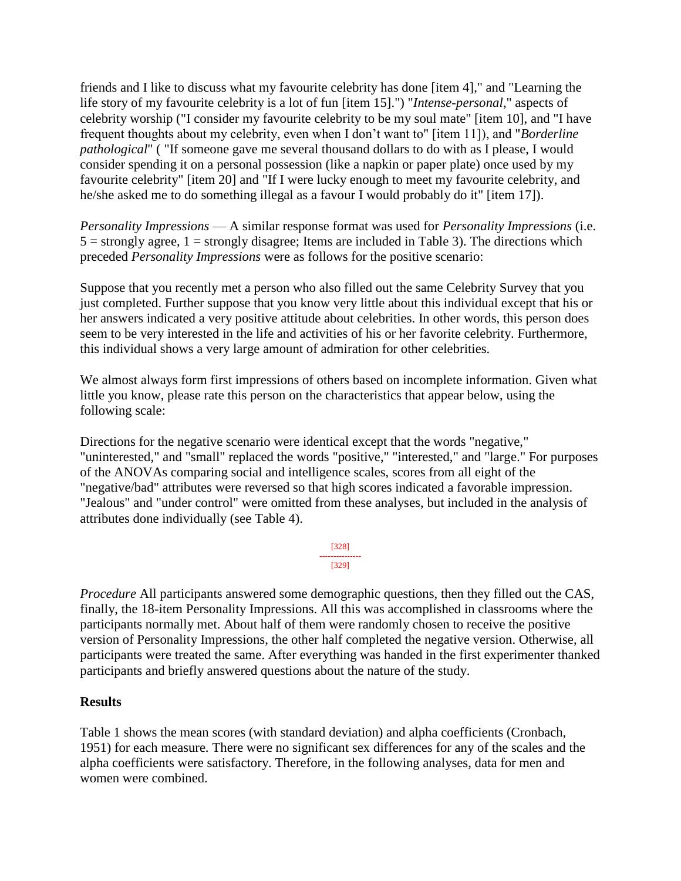friends and I like to discuss what my favourite celebrity has done [item 4]," and "Learning the life story of my favourite celebrity is a lot of fun [item 15].") "*Intense-personal*," aspects of celebrity worship ("I consider my favourite celebrity to be my soul mate" [item 10], and "I have frequent thoughts about my celebrity, even when I don't want to" [item 11]), and "*Borderline pathological*" ( "If someone gave me several thousand dollars to do with as I please, I would consider spending it on a personal possession (like a napkin or paper plate) once used by my favourite celebrity" [item 20] and "If I were lucky enough to meet my favourite celebrity, and he/she asked me to do something illegal as a favour I would probably do it" [item 17]).

*Personality Impressions* — A similar response format was used for *Personality Impressions* (i.e.  $5 =$  strongly agree,  $1 =$  strongly disagree; Items are included in Table 3). The directions which preceded *Personality Impressions* were as follows for the positive scenario:

Suppose that you recently met a person who also filled out the same Celebrity Survey that you just completed. Further suppose that you know very little about this individual except that his or her answers indicated a very positive attitude about celebrities. In other words, this person does seem to be very interested in the life and activities of his or her favorite celebrity. Furthermore, this individual shows a very large amount of admiration for other celebrities.

We almost always form first impressions of others based on incomplete information. Given what little you know, please rate this person on the characteristics that appear below, using the following scale:

Directions for the negative scenario were identical except that the words "negative," "uninterested," and "small" replaced the words "positive," "interested," and "large." For purposes of the ANOVAs comparing social and intelligence scales, scores from all eight of the "negative/bad" attributes were reversed so that high scores indicated a favorable impression. "Jealous" and "under control" were omitted from these analyses, but included in the analysis of attributes done individually (see Table 4).

$$
\begin{array}{c}\n [328] \\
\hline\n [329]\n \end{array}
$$

*Procedure* All participants answered some demographic questions, then they filled out the CAS, finally, the 18-item Personality Impressions. All this was accomplished in classrooms where the participants normally met. About half of them were randomly chosen to receive the positive version of Personality Impressions, the other half completed the negative version. Otherwise, all participants were treated the same. After everything was handed in the first experimenter thanked participants and briefly answered questions about the nature of the study.

### **Results**

Table 1 shows the mean scores (with standard deviation) and alpha coefficients (Cronbach, 1951) for each measure. There were no significant sex differences for any of the scales and the alpha coefficients were satisfactory. Therefore, in the following analyses, data for men and women were combined.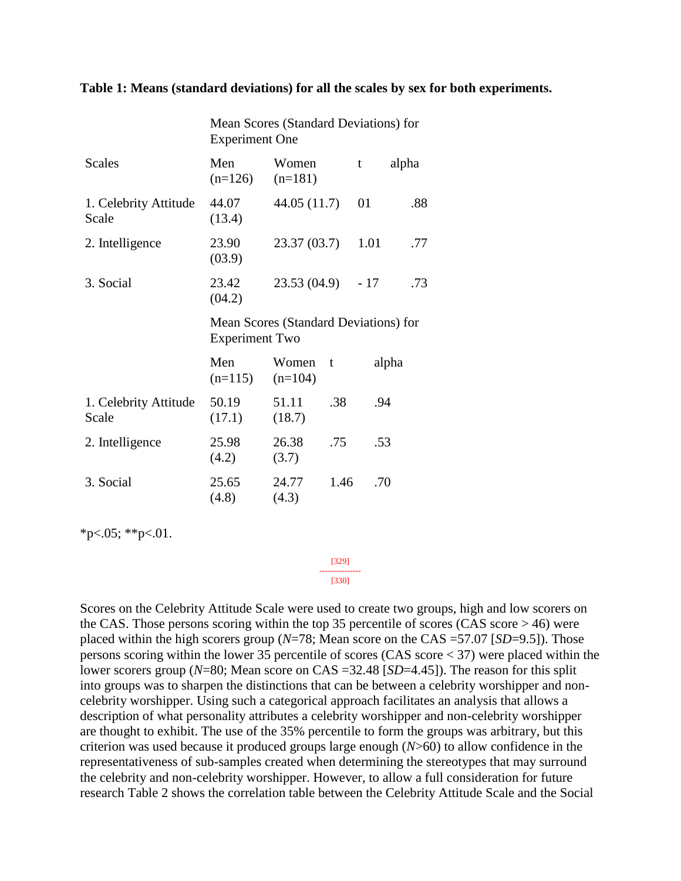### **Table 1: Means (standard deviations) for all the scales by sex for both experiments.**

|                                | Mean Scores (Standard Deviations) for<br><b>Experiment One</b> |                    |      |       |       |  |
|--------------------------------|----------------------------------------------------------------|--------------------|------|-------|-------|--|
| <b>Scales</b>                  | Men<br>$(n=126)$                                               | Women<br>$(n=181)$ |      | t     | alpha |  |
| 1. Celebrity Attitude<br>Scale | 44.07<br>(13.4)                                                | 44.05 (11.7)       |      | 01    | .88   |  |
| 2. Intelligence                | 23.90<br>(03.9)                                                | 23.37(03.7)        |      | 1.01  | .77   |  |
| 3. Social                      | 23.42<br>23.53 (04.9)<br>(04.2)                                |                    |      | $-17$ | .73   |  |
|                                | Mean Scores (Standard Deviations) for<br><b>Experiment Two</b> |                    |      |       |       |  |
|                                | Men<br>$(n=115)$                                               | Women<br>$(n=104)$ | t    |       | alpha |  |
| 1. Celebrity Attitude<br>Scale | 50.19<br>(17.1)                                                | 51.11<br>(18.7)    | .38  | .94   |       |  |
| 2. Intelligence                | 25.98<br>(4.2)                                                 | 26.38<br>(3.7)     | .75  | .53   |       |  |
| 3. Social                      | 25.65<br>(4.8)                                                 | 24.77<br>(4.3)     | 1.46 | .70   |       |  |

 $*p<.05$ ;  $*p<.01$ .

[329] --------------- [330]

Scores on the Celebrity Attitude Scale were used to create two groups, high and low scorers on the CAS. Those persons scoring within the top 35 percentile of scores (CAS score > 46) were placed within the high scorers group (*N*=78; Mean score on the CAS =57.07 [*SD*=9.5]). Those persons scoring within the lower 35 percentile of scores (CAS score < 37) were placed within the lower scorers group (*N*=80; Mean score on CAS =32.48 [*SD*=4.45]). The reason for this split into groups was to sharpen the distinctions that can be between a celebrity worshipper and noncelebrity worshipper. Using such a categorical approach facilitates an analysis that allows a description of what personality attributes a celebrity worshipper and non-celebrity worshipper are thought to exhibit. The use of the 35% percentile to form the groups was arbitrary, but this criterion was used because it produced groups large enough (*N*>60) to allow confidence in the representativeness of sub-samples created when determining the stereotypes that may surround the celebrity and non-celebrity worshipper. However, to allow a full consideration for future research Table 2 shows the correlation table between the Celebrity Attitude Scale and the Social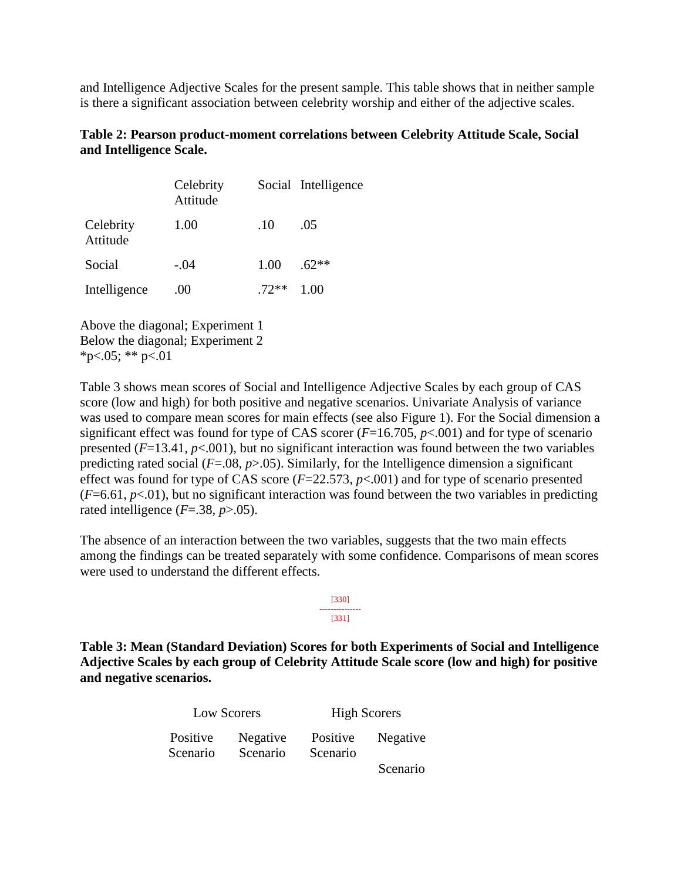and Intelligence Adjective Scales for the present sample. This table shows that in neither sample is there a significant association between celebrity worship and either of the adjective scales.

### **Table 2: Pearson product-moment correlations between Celebrity Attitude Scale, Social and Intelligence Scale.**

|                       | Celebrity<br>Attitude |         | Social Intelligence |
|-----------------------|-----------------------|---------|---------------------|
| Celebrity<br>Attitude | 1.00                  | .10     | .05                 |
| Social                | $-.04$                | 1.00    | $.62**$             |
| Intelligence          | .00                   | $.72**$ | 1.00                |

Above the diagonal; Experiment 1 Below the diagonal; Experiment 2  $*p<.05$ ;  $*$  p $<.01$ 

Table 3 shows mean scores of Social and Intelligence Adjective Scales by each group of CAS score (low and high) for both positive and negative scenarios. Univariate Analysis of variance was used to compare mean scores for main effects (see also Figure 1). For the Social dimension a significant effect was found for type of CAS scorer (*F*=16.705, *p*<.001) and for type of scenario presented (*F*=13.41, *p*<.001), but no significant interaction was found between the two variables predicting rated social (*F*=.08, *p*>.05). Similarly, for the Intelligence dimension a significant effect was found for type of CAS score  $(F=22.573, p<.001)$  and for type of scenario presented  $(F=6.61, p<0.01)$ , but no significant interaction was found between the two variables in predicting rated intelligence  $(F=.38, p>.05)$ .

The absence of an interaction between the two variables, suggests that the two main effects among the findings can be treated separately with some confidence. Comparisons of mean scores were used to understand the different effects.

> [330] --------------- [331]

**Table 3: Mean (Standard Deviation) Scores for both Experiments of Social and Intelligence Adjective Scales by each group of Celebrity Attitude Scale score (low and high) for positive and negative scenarios.** 

| Low Scorers          |                      | <b>High Scorers</b>  |          |  |  |
|----------------------|----------------------|----------------------|----------|--|--|
| Positive<br>Scenario | Negative<br>Scenario | Positive<br>Scenario | Negative |  |  |
|                      |                      |                      | Scenario |  |  |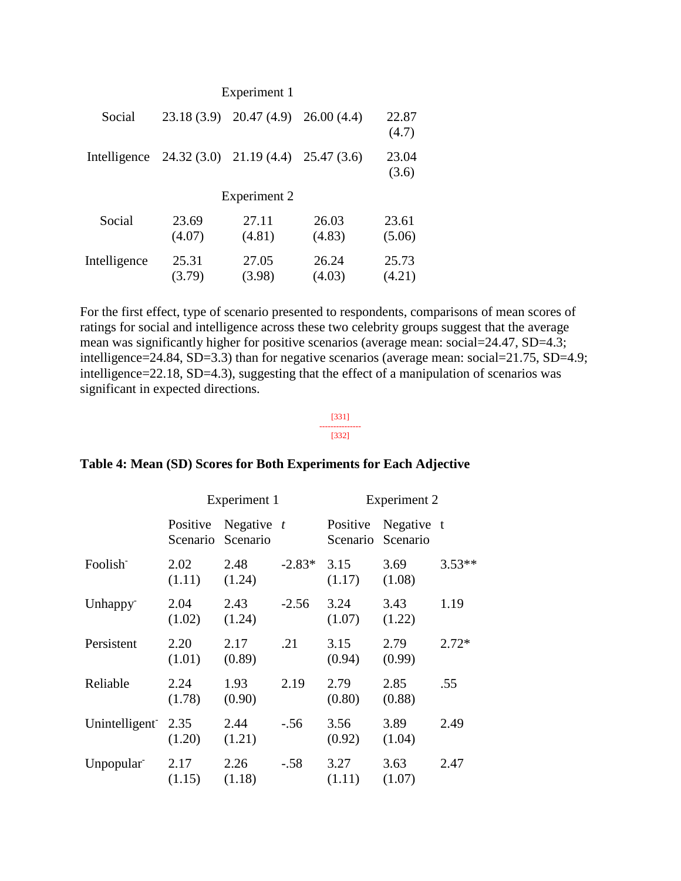| Experiment 1 |                                                     |                 |                 |                 |  |
|--------------|-----------------------------------------------------|-----------------|-----------------|-----------------|--|
| Social       | 23.18(3.9)                                          | 20.47(4.9)      | 26.00(4.4)      | 22.87<br>(4.7)  |  |
|              | Intelligence $24.32(3.0)$ $21.19(4.4)$ $25.47(3.6)$ |                 |                 | 23.04<br>(3.6)  |  |
| Experiment 2 |                                                     |                 |                 |                 |  |
| Social       | 23.69<br>(4.07)                                     | 27.11<br>(4.81) | 26.03<br>(4.83) | 23.61<br>(5.06) |  |
| Intelligence | 25.31<br>(3.79)                                     | 27.05<br>(3.98) | 26.24<br>(4.03) | 25.73<br>(4.21) |  |

For the first effect, type of scenario presented to respondents, comparisons of mean scores of ratings for social and intelligence across these two celebrity groups suggest that the average mean was significantly higher for positive scenarios (average mean: social=24.47, SD=4.3; intelligence=24.84, SD=3.3) than for negative scenarios (average mean: social=21.75, SD=4.9; intelligence=22.18, SD=4.3), suggesting that the effect of a manipulation of scenarios was significant in expected directions.

### [331] --------------- [332]

#### Experiment 1 Experiment 2 Positive Negative Scenario Scenario *t* Positive Negative t Scenario Scenario Foolish-2.02 (1.11) 2.48 (1.24)  $-2.83*$  3.15 (1.17) 3.69 (1.08) 3.53\*\* Unhappy-2.04  $(1.02)$ 2.43 (1.24) -2.56 3.24 (1.07) 3.43 (1.22) 1.19 Persistent 2.20 (1.01) 2.17 (0.89) .21 3.15 (0.94) 2.79 (0.99) 2.72\* Reliable 2.24 (1.78) 1.93 (0.90) 2.19 2.79 (0.80) 2.85 (0.88) .55 Unintelligent<sup>-</sup> 2.35 (1.20) 2.44 (1.21) -.56 3.56 (0.92) 3.89 (1.04) 2.49 Unpopular-2.17 (1.15) 2.26 (1.18) -.58 3.27 (1.11) 3.63  $(1.07)$ 2.47

### **Table 4: Mean (SD) Scores for Both Experiments for Each Adjective**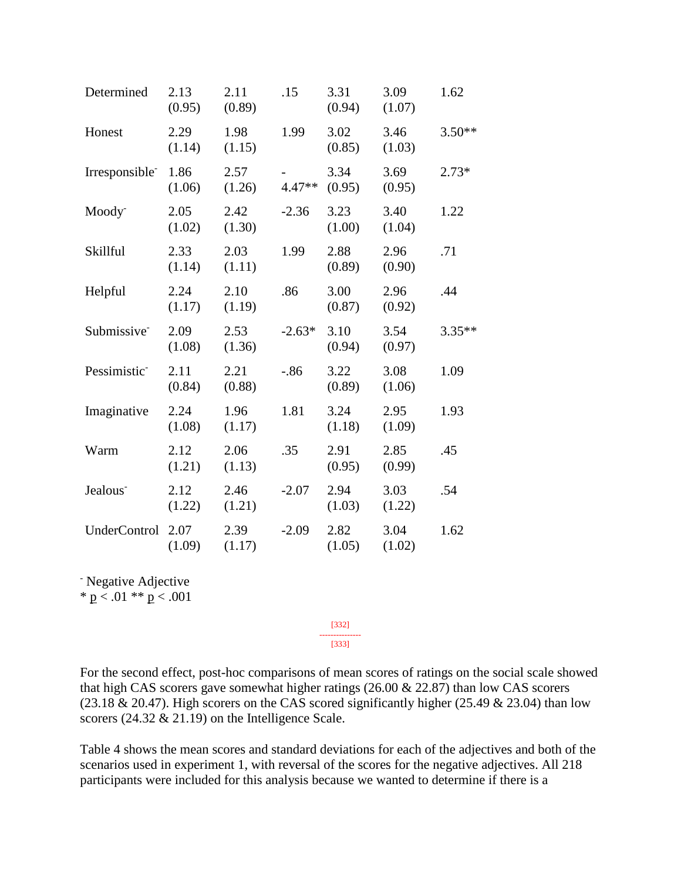| Determined                 | 2.13<br>(0.95) | 2.11<br>(0.89) | .15      | 3.31<br>(0.94) | 3.09<br>(1.07) | 1.62     |
|----------------------------|----------------|----------------|----------|----------------|----------------|----------|
| Honest                     | 2.29<br>(1.14) | 1.98<br>(1.15) | 1.99     | 3.02<br>(0.85) | 3.46<br>(1.03) | $3.50**$ |
| Irresponsible <sup>-</sup> | 1.86<br>(1.06) | 2.57<br>(1.26) | $4.47**$ | 3.34<br>(0.95) | 3.69<br>(0.95) | $2.73*$  |
| Moody <sup>-</sup>         | 2.05<br>(1.02) | 2.42<br>(1.30) | $-2.36$  | 3.23<br>(1.00) | 3.40<br>(1.04) | 1.22     |
| Skillful                   | 2.33<br>(1.14) | 2.03<br>(1.11) | 1.99     | 2.88<br>(0.89) | 2.96<br>(0.90) | .71      |
| Helpful                    | 2.24<br>(1.17) | 2.10<br>(1.19) | .86      | 3.00<br>(0.87) | 2.96<br>(0.92) | .44      |
| Submissive <sup>-</sup>    | 2.09<br>(1.08) | 2.53<br>(1.36) | $-2.63*$ | 3.10<br>(0.94) | 3.54<br>(0.97) | 3.35**   |
| Pessimistic <sup>-</sup>   | 2.11<br>(0.84) | 2.21<br>(0.88) | $-0.86$  | 3.22<br>(0.89) | 3.08<br>(1.06) | 1.09     |
| Imaginative                | 2.24<br>(1.08) | 1.96<br>(1.17) | 1.81     | 3.24<br>(1.18) | 2.95<br>(1.09) | 1.93     |
| Warm                       | 2.12<br>(1.21) | 2.06<br>(1.13) | .35      | 2.91<br>(0.95) | 2.85<br>(0.99) | .45      |
| Jealous <sup>-</sup>       | 2.12<br>(1.22) | 2.46<br>(1.21) | $-2.07$  | 2.94<br>(1.03) | 3.03<br>(1.22) | .54      |
| <b>UnderControl</b>        | 2.07<br>(1.09) | 2.39<br>(1.17) | $-2.09$  | 2.82<br>(1.05) | 3.04<br>(1.02) | 1.62     |

- Negative Adjective

\*  $p < .01$  \*\*  $p < .001$ 

For the second effect, post-hoc comparisons of mean scores of ratings on the social scale showed that high CAS scorers gave somewhat higher ratings (26.00 & 22.87) than low CAS scorers (23.18  $& 20.47$ ). High scorers on the CAS scored significantly higher (25.49  $& 23.04$ ) than low scorers (24.32 & 21.19) on the Intelligence Scale.

[332] --------------- [333]

Table 4 shows the mean scores and standard deviations for each of the adjectives and both of the scenarios used in experiment 1, with reversal of the scores for the negative adjectives. All 218 participants were included for this analysis because we wanted to determine if there is a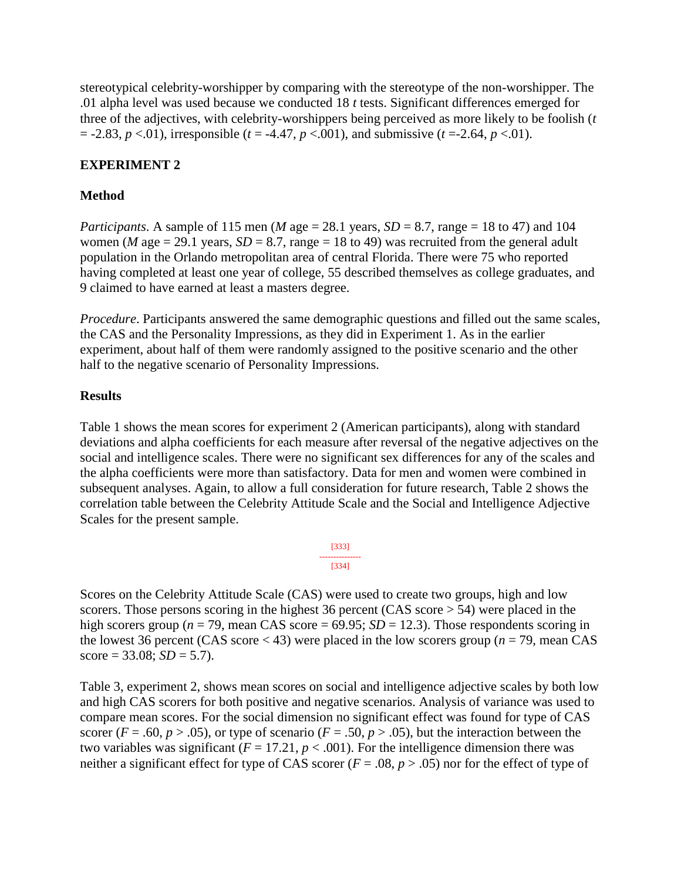stereotypical celebrity-worshipper by comparing with the stereotype of the non-worshipper. The .01 alpha level was used because we conducted 18 *t* tests. Significant differences emerged for three of the adjectives, with celebrity-worshippers being perceived as more likely to be foolish (*t*  $= -2.83, p < .01$ ), irresponsible ( $t = -4.47, p < .001$ ), and submissive ( $t = -2.64, p < .01$ ).

### **EXPERIMENT 2**

### **Method**

*Participants*. A sample of 115 men (*M* age = 28.1 years,  $SD = 8.7$ , range = 18 to 47) and 104 women (*M* age = 29.1 years,  $SD = 8.7$ , range = 18 to 49) was recruited from the general adult population in the Orlando metropolitan area of central Florida. There were 75 who reported having completed at least one year of college, 55 described themselves as college graduates, and 9 claimed to have earned at least a masters degree.

*Procedure*. Participants answered the same demographic questions and filled out the same scales, the CAS and the Personality Impressions, as they did in Experiment 1. As in the earlier experiment, about half of them were randomly assigned to the positive scenario and the other half to the negative scenario of Personality Impressions.

### **Results**

Table 1 shows the mean scores for experiment 2 (American participants), along with standard deviations and alpha coefficients for each measure after reversal of the negative adjectives on the social and intelligence scales. There were no significant sex differences for any of the scales and the alpha coefficients were more than satisfactory. Data for men and women were combined in subsequent analyses. Again, to allow a full consideration for future research, Table 2 shows the correlation table between the Celebrity Attitude Scale and the Social and Intelligence Adjective Scales for the present sample.

$$
\begin{array}{c}\n [333] \\
\overline{)331} \\
[334]\n \end{array}
$$

Scores on the Celebrity Attitude Scale (CAS) were used to create two groups, high and low scorers. Those persons scoring in the highest 36 percent (CAS score  $> 54$ ) were placed in the high scorers group ( $n = 79$ , mean CAS score = 69.95; *SD* = 12.3). Those respondents scoring in the lowest 36 percent (CAS score < 43) were placed in the low scorers group (*n* = 79, mean CAS  $score = 33.08$ ;  $SD = 5.7$ ).

Table 3, experiment 2, shows mean scores on social and intelligence adjective scales by both low and high CAS scorers for both positive and negative scenarios. Analysis of variance was used to compare mean scores. For the social dimension no significant effect was found for type of CAS scorer ( $F = .60$ ,  $p > .05$ ), or type of scenario ( $F = .50$ ,  $p > .05$ ), but the interaction between the two variables was significant ( $F = 17.21$ ,  $p < .001$ ). For the intelligence dimension there was neither a significant effect for type of CAS scorer ( $F = .08$ ,  $p > .05$ ) nor for the effect of type of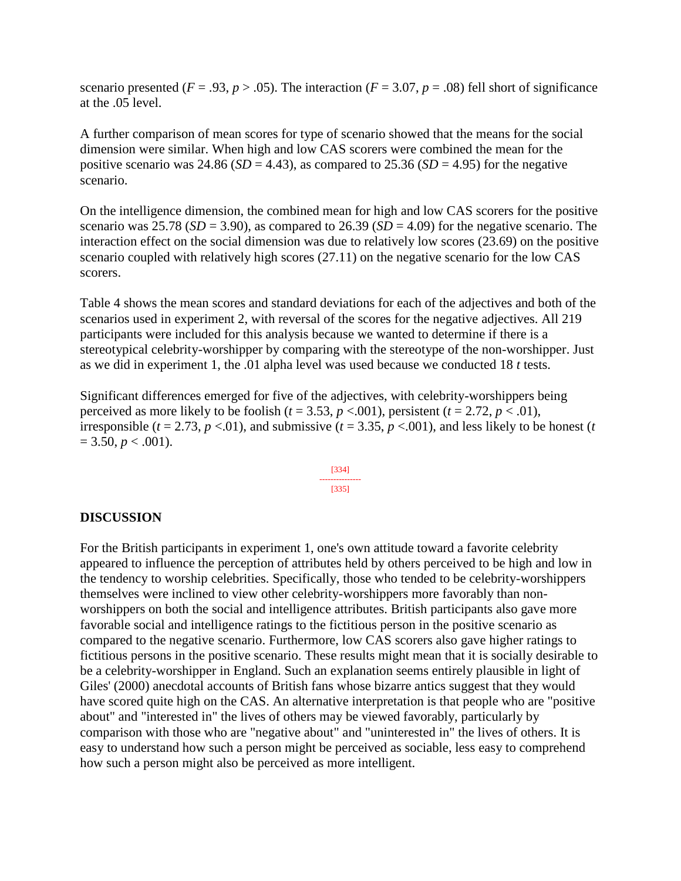scenario presented ( $F = .93$ ,  $p > .05$ ). The interaction ( $F = 3.07$ ,  $p = .08$ ) fell short of significance at the .05 level.

A further comparison of mean scores for type of scenario showed that the means for the social dimension were similar. When high and low CAS scorers were combined the mean for the positive scenario was 24.86 ( $SD = 4.43$ ), as compared to 25.36 ( $SD = 4.95$ ) for the negative scenario.

On the intelligence dimension, the combined mean for high and low CAS scorers for the positive scenario was 25.78 ( $SD = 3.90$ ), as compared to 26.39 ( $SD = 4.09$ ) for the negative scenario. The interaction effect on the social dimension was due to relatively low scores (23.69) on the positive scenario coupled with relatively high scores (27.11) on the negative scenario for the low CAS scorers.

Table 4 shows the mean scores and standard deviations for each of the adjectives and both of the scenarios used in experiment 2, with reversal of the scores for the negative adjectives. All 219 participants were included for this analysis because we wanted to determine if there is a stereotypical celebrity-worshipper by comparing with the stereotype of the non-worshipper. Just as we did in experiment 1, the .01 alpha level was used because we conducted 18 *t* tests.

Significant differences emerged for five of the adjectives, with celebrity-worshippers being perceived as more likely to be foolish ( $t = 3.53$ ,  $p < .001$ ), persistent ( $t = 2.72$ ,  $p < .01$ ), irresponsible ( $t = 2.73$ ,  $p < 0.01$ ), and submissive ( $t = 3.35$ ,  $p < 0.001$ ), and less likely to be honest ( $t = 1.73$  $= 3.50, p < .001$ ).

$$
\begin{array}{c}\n [334] \\
\overline{)335}\n \end{array}
$$

### **DISCUSSION**

For the British participants in experiment 1, one's own attitude toward a favorite celebrity appeared to influence the perception of attributes held by others perceived to be high and low in the tendency to worship celebrities. Specifically, those who tended to be celebrity-worshippers themselves were inclined to view other celebrity-worshippers more favorably than nonworshippers on both the social and intelligence attributes. British participants also gave more favorable social and intelligence ratings to the fictitious person in the positive scenario as compared to the negative scenario. Furthermore, low CAS scorers also gave higher ratings to fictitious persons in the positive scenario. These results might mean that it is socially desirable to be a celebrity-worshipper in England. Such an explanation seems entirely plausible in light of Giles' (2000) anecdotal accounts of British fans whose bizarre antics suggest that they would have scored quite high on the CAS. An alternative interpretation is that people who are "positive about" and "interested in" the lives of others may be viewed favorably, particularly by comparison with those who are "negative about" and "uninterested in" the lives of others. It is easy to understand how such a person might be perceived as sociable, less easy to comprehend how such a person might also be perceived as more intelligent.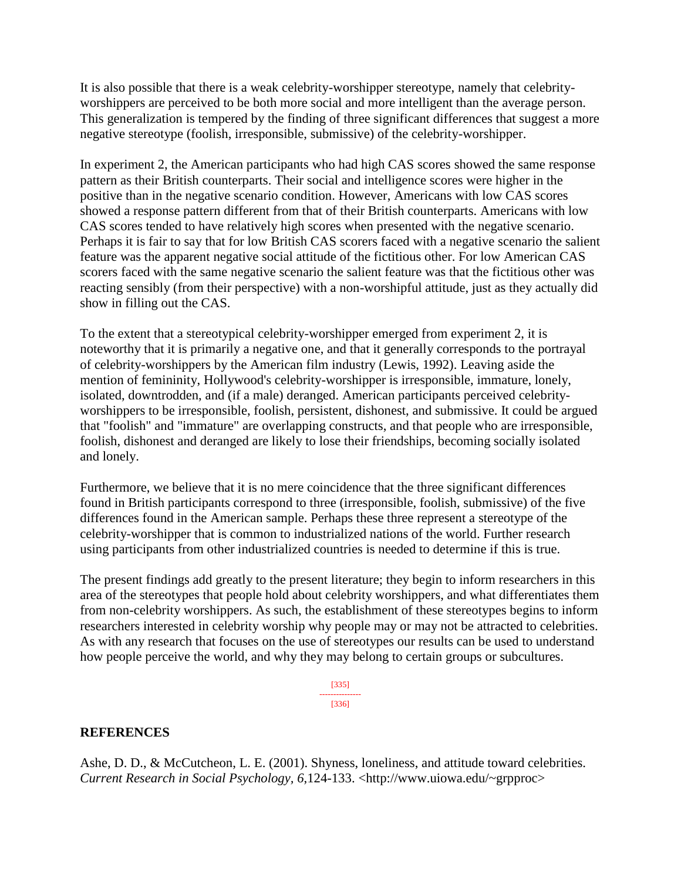It is also possible that there is a weak celebrity-worshipper stereotype, namely that celebrityworshippers are perceived to be both more social and more intelligent than the average person. This generalization is tempered by the finding of three significant differences that suggest a more negative stereotype (foolish, irresponsible, submissive) of the celebrity-worshipper.

In experiment 2, the American participants who had high CAS scores showed the same response pattern as their British counterparts. Their social and intelligence scores were higher in the positive than in the negative scenario condition. However, Americans with low CAS scores showed a response pattern different from that of their British counterparts. Americans with low CAS scores tended to have relatively high scores when presented with the negative scenario. Perhaps it is fair to say that for low British CAS scorers faced with a negative scenario the salient feature was the apparent negative social attitude of the fictitious other. For low American CAS scorers faced with the same negative scenario the salient feature was that the fictitious other was reacting sensibly (from their perspective) with a non-worshipful attitude, just as they actually did show in filling out the CAS.

To the extent that a stereotypical celebrity-worshipper emerged from experiment 2, it is noteworthy that it is primarily a negative one, and that it generally corresponds to the portrayal of celebrity-worshippers by the American film industry (Lewis, 1992). Leaving aside the mention of femininity, Hollywood's celebrity-worshipper is irresponsible, immature, lonely, isolated, downtrodden, and (if a male) deranged. American participants perceived celebrityworshippers to be irresponsible, foolish, persistent, dishonest, and submissive. It could be argued that "foolish" and "immature" are overlapping constructs, and that people who are irresponsible, foolish, dishonest and deranged are likely to lose their friendships, becoming socially isolated and lonely.

Furthermore, we believe that it is no mere coincidence that the three significant differences found in British participants correspond to three (irresponsible, foolish, submissive) of the five differences found in the American sample. Perhaps these three represent a stereotype of the celebrity-worshipper that is common to industrialized nations of the world. Further research using participants from other industrialized countries is needed to determine if this is true.

The present findings add greatly to the present literature; they begin to inform researchers in this area of the stereotypes that people hold about celebrity worshippers, and what differentiates them from non-celebrity worshippers. As such, the establishment of these stereotypes begins to inform researchers interested in celebrity worship why people may or may not be attracted to celebrities. As with any research that focuses on the use of stereotypes our results can be used to understand how people perceive the world, and why they may belong to certain groups or subcultures.

> [335] --------------- [336]

### **REFERENCES**

Ashe, D. D., & McCutcheon, L. E. (2001). Shyness, loneliness, and attitude toward celebrities. *Current Research in Social Psychology, 6*,124-133. <http://www.uiowa.edu/~grpproc>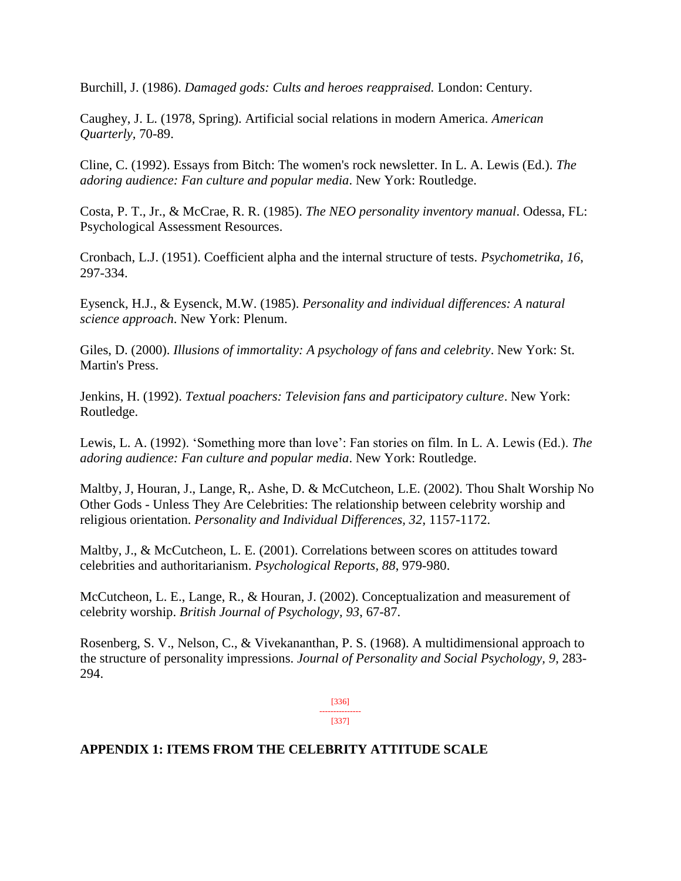Burchill, J. (1986). *Damaged gods: Cults and heroes reappraised.* London: Century.

Caughey, J. L. (1978, Spring). Artificial social relations in modern America. *American Quarterly,* 70-89.

Cline, C. (1992). Essays from Bitch: The women's rock newsletter. In L. A. Lewis (Ed.). *The adoring audience: Fan culture and popular media*. New York: Routledge.

Costa, P. T., Jr., & McCrae, R. R. (1985). *The NEO personality inventory manual*. Odessa, FL: Psychological Assessment Resources.

Cronbach, L.J. (1951). Coefficient alpha and the internal structure of tests. *Psychometrika, 16*, 297-334.

Eysenck, H.J., & Eysenck, M.W. (1985). *Personality and individual differences: A natural science approach*. New York: Plenum.

Giles, D. (2000). *Illusions of immortality: A psychology of fans and celebrity*. New York: St. Martin's Press.

Jenkins, H. (1992). *Textual poachers: Television fans and participatory culture*. New York: Routledge.

Lewis, L. A. (1992). 'Something more than love': Fan stories on film. In L. A. Lewis (Ed.). *The adoring audience: Fan culture and popular media*. New York: Routledge.

Maltby, J, Houran, J., Lange, R,. Ashe, D. & McCutcheon, L.E. (2002). Thou Shalt Worship No Other Gods - Unless They Are Celebrities: The relationship between celebrity worship and religious orientation. *Personality and Individual Differences, 32*, 1157-1172.

Maltby, J., & McCutcheon, L. E. (2001). Correlations between scores on attitudes toward celebrities and authoritarianism. *Psychological Reports, 88*, 979-980.

McCutcheon, L. E., Lange, R., & Houran, J. (2002). Conceptualization and measurement of celebrity worship. *British Journal of Psychology, 93*, 67-87.

Rosenberg, S. V., Nelson, C., & Vivekananthan, P. S. (1968). A multidimensional approach to the structure of personality impressions. *Journal of Personality and Social Psychology, 9*, 283- 294.

> [336] --------------- [337]

### **APPENDIX 1: ITEMS FROM THE CELEBRITY ATTITUDE SCALE**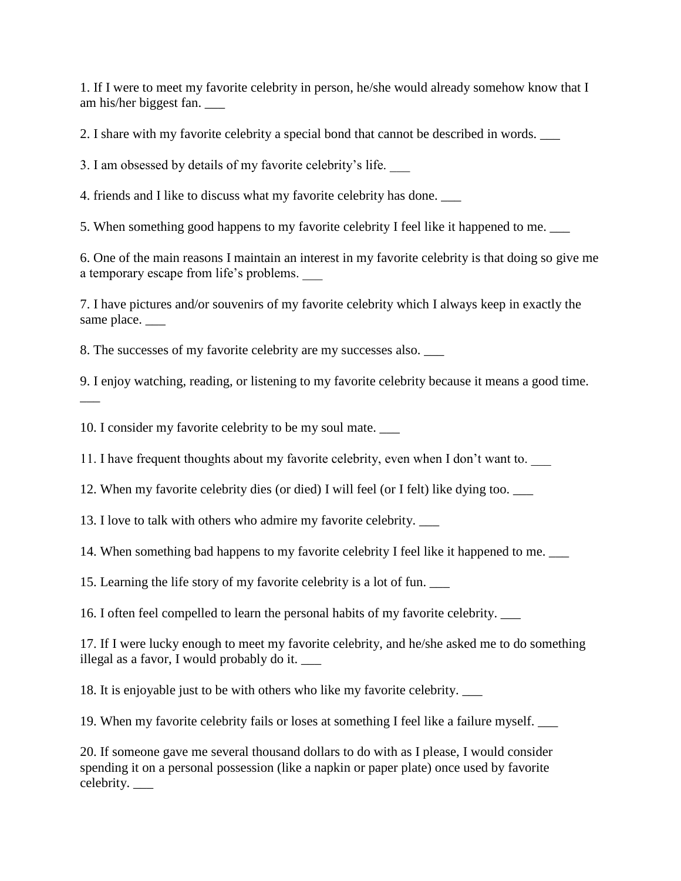1. If I were to meet my favorite celebrity in person, he/she would already somehow know that I am his/her biggest fan. \_\_\_

2. I share with my favorite celebrity a special bond that cannot be described in words. \_\_\_

3. I am obsessed by details of my favorite celebrity's life. \_\_\_

4. friends and I like to discuss what my favorite celebrity has done. \_\_\_

5. When something good happens to my favorite celebrity I feel like it happened to me. \_\_\_

6. One of the main reasons I maintain an interest in my favorite celebrity is that doing so give me a temporary escape from life's problems.

7. I have pictures and/or souvenirs of my favorite celebrity which I always keep in exactly the same place.

8. The successes of my favorite celebrity are my successes also. \_\_\_

9. I enjoy watching, reading, or listening to my favorite celebrity because it means a good time.

10. I consider my favorite celebrity to be my soul mate. \_\_\_

 $\overline{\phantom{a}}$ 

11. I have frequent thoughts about my favorite celebrity, even when I don't want to.

12. When my favorite celebrity dies (or died) I will feel (or I felt) like dying too. \_\_\_

13. I love to talk with others who admire my favorite celebrity. \_\_\_

14. When something bad happens to my favorite celebrity I feel like it happened to me. \_\_\_

15. Learning the life story of my favorite celebrity is a lot of fun. \_\_\_

16. I often feel compelled to learn the personal habits of my favorite celebrity. \_\_\_

17. If I were lucky enough to meet my favorite celebrity, and he/she asked me to do something illegal as a favor, I would probably do it. \_\_\_

18. It is enjoyable just to be with others who like my favorite celebrity. \_\_\_

19. When my favorite celebrity fails or loses at something I feel like a failure myself. \_\_\_

20. If someone gave me several thousand dollars to do with as I please, I would consider spending it on a personal possession (like a napkin or paper plate) once used by favorite celebrity. \_\_\_